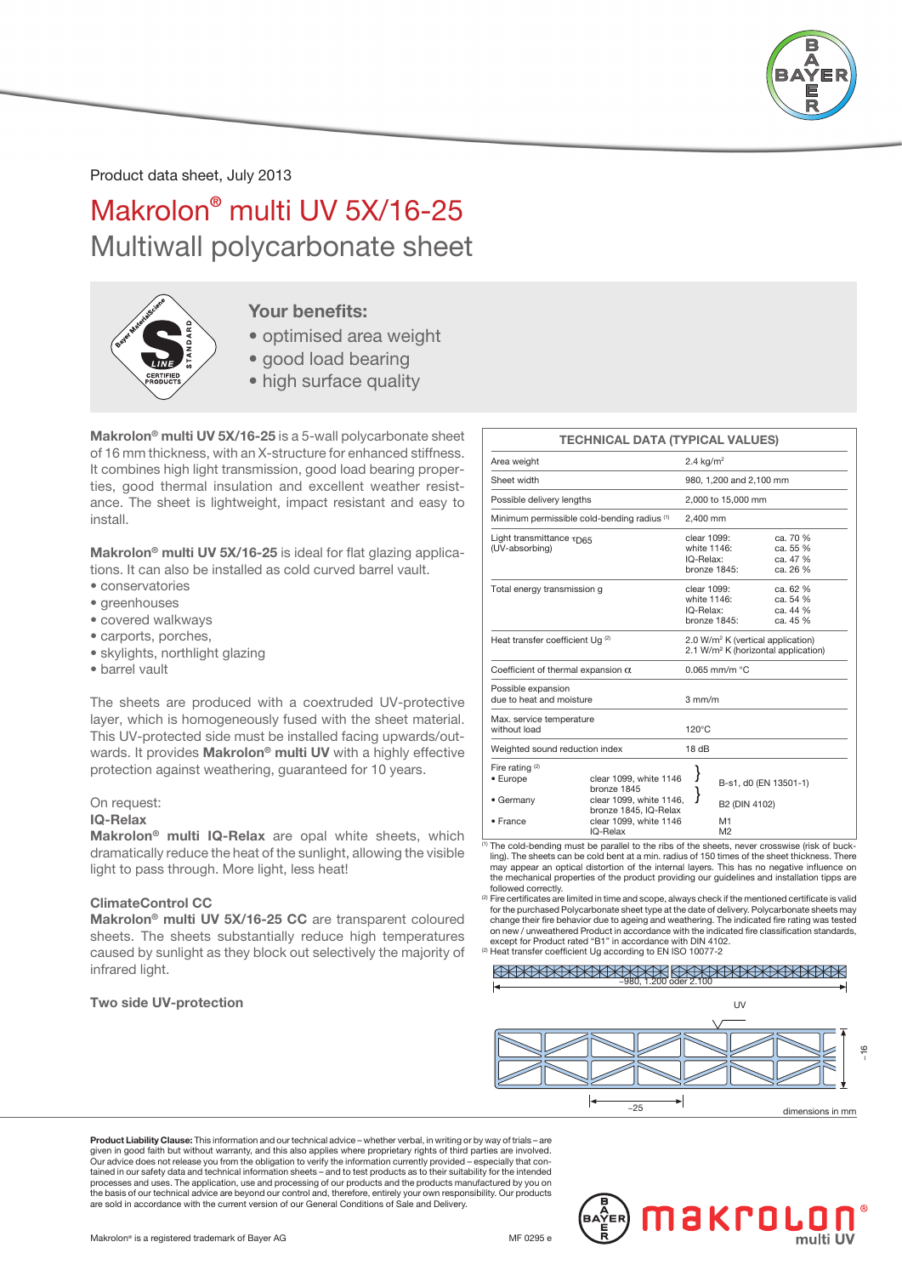

Product data sheet, July 2013

# Makrolon® multi UV 5X/16-25 Multiwall polycarbonate sheet



## Your benefits:

- optimised area weight
- good load bearing
- high surface quality

Makrolon® multi UV 5X/16-25 is a 5-wall polycarbonate sheet of 16 mm thickness, with an X-structure for enhanced stiffness. It combines high light transmission, good load bearing properties, good thermal insulation and excellent weather resistance. The sheet is lightweight, impact resistant and easy to install.

Makrolon<sup>®</sup> multi UV 5X/16-25 is ideal for flat glazing applications. It can also be installed as cold curved barrel vault.

- conservatories
- greenhouses
- covered walkways
- carports, porches,
- skylights, northlight glazing
- barrel vault

The sheets are produced with a coextruded UV-protective layer, which is homogeneously fused with the sheet material. This UV-protected side must be installed facing upwards/outwards. It provides Makrolon<sup>®</sup> multi UV with a highly effective protection against weathering, guaranteed for 10 years.

#### On request:

#### IQ-Relax

Makrolon® multi IQ-Relax are opal white sheets, which dramatically reduce the heat of the sunlight, allowing the visible light to pass through. More light, less heat!

### ClimateControl CC

Makrolon® multi UV 5X/16-25 CC are transparent coloured sheets. The sheets substantially reduce high temperatures caused by sunlight as they block out selectively the majority of infrared light.

### Two side UV-protection

|                                                           | <b>TECHNICAL DATA (TYPICAL VALUES)</b>                                                                              |   |                                                                                                  |                                              |  |  |
|-----------------------------------------------------------|---------------------------------------------------------------------------------------------------------------------|---|--------------------------------------------------------------------------------------------------|----------------------------------------------|--|--|
| Area weight                                               |                                                                                                                     |   | 2.4 $kg/m2$                                                                                      |                                              |  |  |
| Sheet width                                               |                                                                                                                     |   | 980, 1,200 and 2,100 mm                                                                          |                                              |  |  |
| Possible delivery lengths                                 |                                                                                                                     |   | 2,000 to 15,000 mm                                                                               |                                              |  |  |
| Minimum permissible cold-bending radius (1)               |                                                                                                                     |   | 2.400 mm                                                                                         |                                              |  |  |
| Light transmittance $\tau_{\text{D65}}$<br>(UV-absorbing) |                                                                                                                     |   | clear 1099:<br>white 1146:<br>IQ-Relax:<br>bronze 1845:                                          | ca. 70 %<br>ca. 55 %<br>ca. 47 %<br>ca. 26 % |  |  |
| Total energy transmission g                               |                                                                                                                     |   | clear 1099:<br>white 1146:<br>IQ-Relax:<br>bronze 1845:                                          | ca. 62 %<br>ca. 54 %<br>ca. 44 %<br>ca. 45 % |  |  |
| Heat transfer coefficient Uq <sup>(2)</sup>               |                                                                                                                     |   | 2.0 W/m <sup>2</sup> K (vertical application)<br>2.1 W/m <sup>2</sup> K (horizontal application) |                                              |  |  |
| Coefficient of thermal expansion $\alpha$                 |                                                                                                                     |   | $0.065$ mm/m $°C$                                                                                |                                              |  |  |
| Possible expansion<br>due to heat and moisture            |                                                                                                                     |   | $3 \text{ mm/m}$                                                                                 |                                              |  |  |
| Max. service temperature<br>without load                  |                                                                                                                     |   | $120^{\circ}$ C                                                                                  |                                              |  |  |
| Weighted sound reduction index                            |                                                                                                                     |   | 18dB                                                                                             |                                              |  |  |
| Fire rating $(2)$<br>• Europe<br>• Germany<br>• France    | clear 1099, white 1146<br>bronze 1845<br>clear 1099, white 1146,<br>bronze 1845, IQ-Relax<br>clear 1099, white 1146 | ł | B2 (DIN 4102)<br>M1                                                                              | B-s1, d0 (EN 13501-1)                        |  |  |
|                                                           | IQ-Relax                                                                                                            |   | M <sub>2</sub>                                                                                   |                                              |  |  |

 $\overline{^{(1)}}$  The cold-bending must be parallel to the ribs of the sheets, never crosswise (risk of buckling). The sheets can be cold bent at a min. radius of 150 times of the sheet thickness. There may appear an optical distortion of the internal layers. This has no negative influence on the mechanical properties of the product providing our guidelines and installation tipps are followed correctly.

(2) Fire certificates are limited in time and scope, always check if the mentioned certificate is valid for the purchased Polycarbonate sheet type at the date of delivery. Polycarbonate sheets may change their fire behavior due to ageing and weathering. The indicated fire rating was tested<br>on new / unweathered Product in accordance with the indicated fire classification standards,<br>except for Product rated "B1" in ac

(2) Heat transfer coefficient Ug according to EN ISO 10077-2

### OXXXXXXXXXXXXXXXXXXXXXXXXX



Product Liability Clause: This information and our technical advice – whether verbal, in writing or by way of trials – are given in good faith but without warranty, and this also applies where proprietary rights of third parties are involved.<br>Our advice does not release you from the obligation to verify the information currently provided – esp tained in our safety data and technical information sheets – and to test products as to their suitability for the intended processes and uses. The application, use and processing of our products and the products manufactured by you on the basis of our technical advice are beyond our control and, therefore, entirely your own responsibility. Our products are sold in accordance with the current version of our General Conditions of Sale and Delivery.